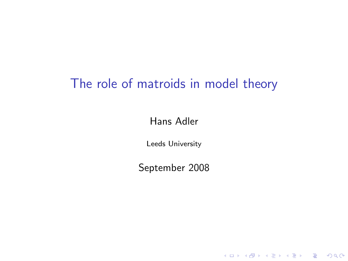# The role of matroids in model theory

Hans Adler

Leeds University

September 2008

K ロ ▶ K @ ▶ K 할 ▶ K 할 ▶ | 할 | ⊙Q @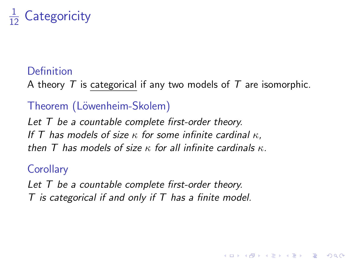#### 1 Categoricity

## Definition

A theory  $T$  is categorical if any two models of  $T$  are isomorphic.

**KORK ERKER ADE YOUR** 

## Theorem (Löwenheim-Skolem)

Let  $T$  be a countable complete first-order theory. If T has models of size  $\kappa$  for some infinite cardinal  $\kappa$ . then T has models of size  $\kappa$  for all infinite cardinals  $\kappa$ .

#### **Corollary**

Let T be a countable complete first-order theory.  $T$  is categorical if and only if  $T$  has a finite model.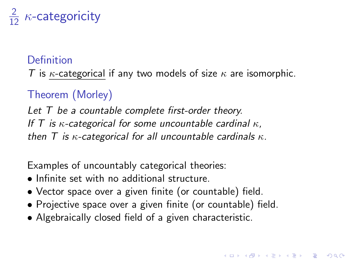# $\frac{2}{12}$   $\kappa$ -categoricity

### Definition

T is  $\kappa$ -categorical if any two models of size  $\kappa$  are isomorphic.

## Theorem (Morley)

Let T be a countable complete first-order theory. If T is  $\kappa$ -categorical for some uncountable cardinal  $\kappa$ . then T is  $\kappa$ -categorical for all uncountable cardinals  $\kappa$ .

Examples of uncountably categorical theories:

- Infinite set with no additional structure.
- Vector space over a given finite (or countable) field.
- Projective space over a given finite (or countable) field.

4 D > 4 P + 4 B + 4 B + B + 9 Q O

• Algebraically closed field of a given characteristic.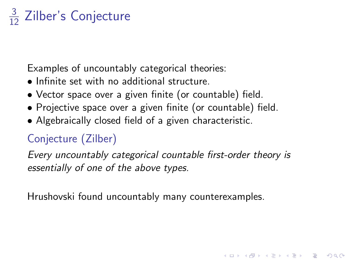# $\frac{3}{12}$  Zilber's Conjecture

Examples of uncountably categorical theories:

- Infinite set with no additional structure.
- Vector space over a given finite (or countable) field.
- Projective space over a given finite (or countable) field.
- Algebraically closed field of a given characteristic.

# Conjecture (Zilber)

Every uncountably categorical countable first-order theory is essentially of one of the above types.

4 D > 4 P + 4 B + 4 B + B + 9 Q O

Hrushovski found uncountably many counterexamples.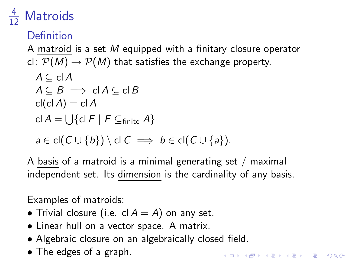#### 4 **Matroids**

## **Definition**

A matroid is a set M equipped with a finitary closure operator cl:  $\mathcal{P}(M) \rightarrow \mathcal{P}(M)$  that satisfies the exchange property.  $A \subseteq \mathsf{cl}\, A$  $A \subseteq B \implies \mathsf{cl}\,A \subseteq \mathsf{cl}\,B$  $cl(cl A) = cl A$ cl  $A=\bigcup \{\mathsf{cl}\; F\mid F\subseteq_{\mathsf{finite}} A\}$  $a \in \text{cl}(C \cup \{b\}) \setminus \text{cl} C \implies b \in \text{cl}(C \cup \{a\}).$ 

A basis of a matroid is a minimal generating set  $/$  maximal independent set. Its dimension is the cardinality of any basis.

4 D > 4 P + 4 B + 4 B + B + 9 Q O

Examples of matroids:

- Trivial closure (i.e. cl  $A = A$ ) on any set.
- Linear hull on a vector space. A matrix.
- Algebraic closure on an algebraically closed field.
- The edges of a graph.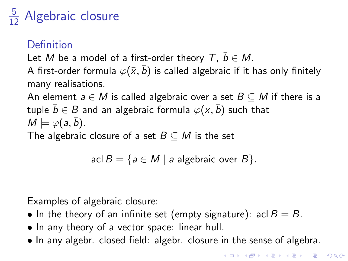# $\frac{5}{12}$  Algebraic closure

## Definition

Let M be a model of a first-order theory  $T, \bar{b} \in M$ .

A first-order formula  $\varphi(\bar{x}, \bar{b})$  is called algebraic if it has only finitely many realisations.

An element  $a \in M$  is called algebraic over a set  $B \subseteq M$  if there is a tuple  $\bar{b} \in B$  and an algebraic formula  $\varphi(x, \bar{b})$  such that  $M \models \varphi(a, \bar{b}).$ The algebraic closure of a set  $B \subseteq M$  is the set

$$
aclB = \{ a \in M \mid a \text{ algebraic over } B \}.
$$

Examples of algebraic closure:

- In the theory of an infinite set (empty signature): acl  $B = B$ .
- In any theory of a vector space: linear hull.
- In any algebr. closed field: algebr. closure in the sense of algebra.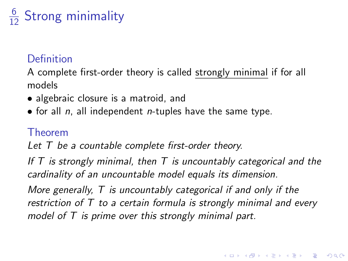# $\frac{6}{12}$  Strong minimality

## **Definition**

A complete first-order theory is called strongly minimal if for all models

- algebraic closure is a matroid, and
- for all  $n$ , all independent  $n$ -tuples have the same type.

### Theorem

Let T be a countable complete first-order theory.

If  $T$  is strongly minimal, then  $T$  is uncountably categorical and the cardinality of an uncountable model equals its dimension.

More generally, T is uncountably categorical if and only if the restriction of T to a certain formula is strongly minimal and every model of T is prime over this strongly minimal part.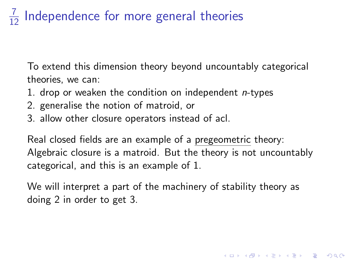#### 7 Independence for more general theories

To extend this dimension theory beyond uncountably categorical theories, we can:

- 1. drop or weaken the condition on independent  $n$ -types
- 2. generalise the notion of matroid, or
- 3. allow other closure operators instead of acl.

Real closed fields are an example of a pregeometric theory: Algebraic closure is a matroid. But the theory is not uncountably categorical, and this is an example of 1.

We will interpret a part of the machinery of stability theory as doing 2 in order to get 3.

4 D > 4 P + 4 B + 4 B + B + 9 Q O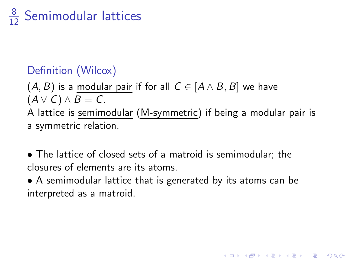# $\frac{8}{12}$  Semimodular lattices

## Definition (Wilcox)

 $(A, B)$  is a modular pair if for all  $C \in [A \wedge B, B]$  we have  $(A \vee C) \wedge B = C$ . A lattice is semimodular (M-symmetric) if being a modular pair is a symmetric relation.

- The lattice of closed sets of a matroid is semimodular; the closures of elements are its atoms.
- A semimodular lattice that is generated by its atoms can be interpreted as a matroid.

**KORK ERKER ADE YOUR**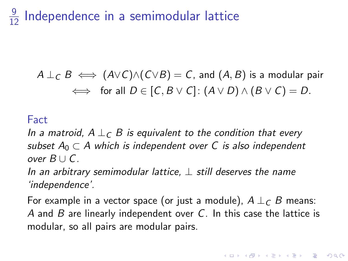#### 9 Independence in a semimodular lattice

$$
A \perp_C B \iff (A \lor C) \land (C \lor B) = C, \text{ and } (A, B) \text{ is a modular pair} \iff \text{ for all } D \in [C, B \lor C]: (A \lor D) \land (B \lor C) = D.
$$

#### Fact

In a matroid,  $A \perp_C B$  is equivalent to the condition that every subset  $A_0 \subset A$  which is independent over C is also independent over B ∪ C.

In an arbitrary semimodular lattice,  $\perp$  still deserves the name 'independence'.

For example in a vector space (or just a module),  $A \perp_C B$  means: A and B are linearly independent over C. In this case the lattice is modular, so all pairs are modular pairs.

**KORKAR KERKER E VOOR**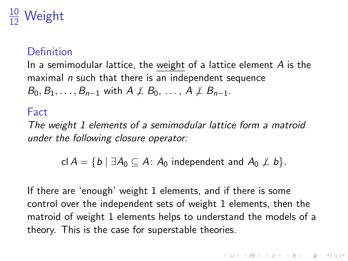#### <u>10</u> Weight

#### Definition

In a semimodular lattice, the weight of a lattice element  $A$  is the maximal *n* such that there is an independent sequence  $B_0, B_1, \ldots, B_{n-1}$  with  $A \not\perp B_0, \ldots, A \not\perp B_{n-1}$ .

#### Fact

The weight 1 elements of a semimodular lattice form a matroid under the following closure operator:

cl  $A = \{b \mid \exists A_0 \subseteq A: A_0 \text{ independent and } A_0 \not\perp b\}.$ 

If there are 'enough' weight 1 elements, and if there is some control over the independent sets of weight 1 elements, then the matroid of weight 1 elements helps to understand the models of a theory. This is the case for superstable theories.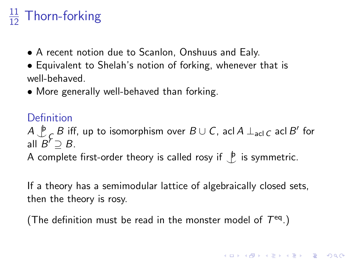# $\frac{11}{12}$  Thorn-forking

- A recent notion due to Scanlon, Onshuus and Ealy.
- Equivalent to Shelah's notion of forking, whenever that is well-behaved.
- More generally well-behaved than forking.

### Definition

 $A \downarrow$  $\overline{C}_E$  B iff, up to isomorphism over  $B\cup C$ , acl A  $\perp$ <sub>acl C</sub> acl  $B'$  for all  $B^r \supseteq B$ .

A complete first-order theory is called rosy if  $\bigcup_{i=1}^{\infty}$  is symmetric.

If a theory has a semimodular lattice of algebraically closed sets, then the theory is rosy.

**KORKAR KERKER E VOOR** 

(The definition must be read in the monster model of  $T^{eq}$ .)